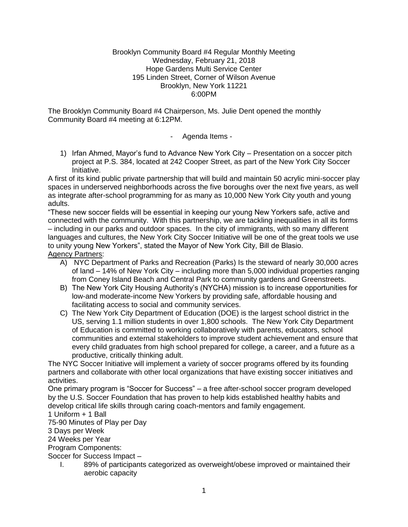#### Brooklyn Community Board #4 Regular Monthly Meeting Wednesday, February 21, 2018 Hope Gardens Multi Service Center 195 Linden Street, Corner of Wilson Avenue Brooklyn, New York 11221 6:00PM

The Brooklyn Community Board #4 Chairperson, Ms. Julie Dent opened the monthly Community Board #4 meeting at 6:12PM.

- Agenda Items -

1) Irfan Ahmed, Mayor's fund to Advance New York City – Presentation on a soccer pitch project at P.S. 384, located at 242 Cooper Street, as part of the New York City Soccer Initiative.

A first of its kind public private partnership that will build and maintain 50 acrylic mini-soccer play spaces in underserved neighborhoods across the five boroughs over the next five years, as well as integrate after-school programming for as many as 10,000 New York City youth and young adults.

"These new soccer fields will be essential in keeping our young New Yorkers safe, active and connected with the community. With this partnership, we are tackling inequalities in all its forms – including in our parks and outdoor spaces. In the city of immigrants, with so many different languages and cultures, the New York City Soccer Initiative will be one of the great tools we use to unity young New Yorkers", stated the Mayor of New York City, Bill de Blasio. Agency Partners:

- A) NYC Department of Parks and Recreation (Parks) Is the steward of nearly 30,000 acres of land – 14% of New York City – including more than 5,000 individual properties ranging from Coney Island Beach and Central Park to community gardens and Greenstreets.
- B) The New York City Housing Authority's (NYCHA) mission is to increase opportunities for low-and moderate-income New Yorkers by providing safe, affordable housing and facilitating access to social and community services.
- C) The New York City Department of Education (DOE) is the largest school district in the US, serving 1.1 million students in over 1,800 schools. The New York City Department of Education is committed to working collaboratively with parents, educators, school communities and external stakeholders to improve student achievement and ensure that every child graduates from high school prepared for college, a career, and a future as a productive, critically thinking adult.

The NYC Soccer Initiative will implement a variety of soccer programs offered by its founding partners and collaborate with other local organizations that have existing soccer initiatives and activities.

One primary program is "Soccer for Success" – a free after-school soccer program developed by the U.S. Soccer Foundation that has proven to help kids established healthy habits and develop critical life skills through caring coach-mentors and family engagement.

### 1 Uniform + 1 Ball

75-90 Minutes of Play per Day

3 Days per Week

24 Weeks per Year

Program Components:

Soccer for Success Impact –

I. 89% of participants categorized as overweight/obese improved or maintained their aerobic capacity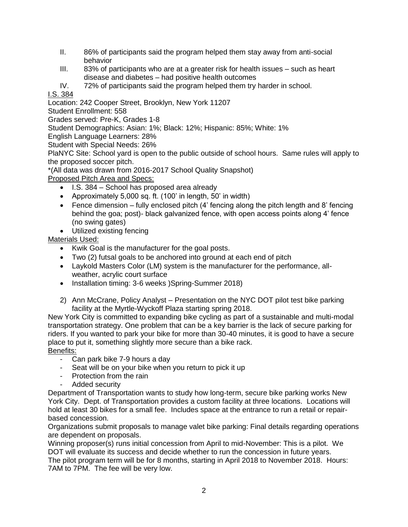- II. 86% of participants said the program helped them stay away from anti-social behavior
- III. 83% of participants who are at a greater risk for health issues such as heart disease and diabetes – had positive health outcomes

IV. 72% of participants said the program helped them try harder in school.

# I.S. 384

Location: 242 Cooper Street, Brooklyn, New York 11207

Student Enrollment: 558

Grades served: Pre-K, Grades 1-8

Student Demographics: Asian: 1%; Black: 12%; Hispanic: 85%; White: 1%

English Language Learners: 28%

Student with Special Needs: 26%

PlaNYC Site: School yard is open to the public outside of school hours. Same rules will apply to the proposed soccer pitch.

\*(All data was drawn from 2016-2017 School Quality Snapshot)

Proposed Pitch Area and Specs:

- I.S. 384 School has proposed area already
- Approximately 5,000 sq. ft. (100' in length, 50' in width)
- Fence dimension fully enclosed pitch  $(4'$  fencing along the pitch length and 8' fencing behind the goa; post)- black galvanized fence, with open access points along 4' fence (no swing gates)
- Utilized existing fencing

Materials Used:

- Kwik Goal is the manufacturer for the goal posts.
- Two (2) futsal goals to be anchored into ground at each end of pitch
- Laykold Masters Color (LM) system is the manufacturer for the performance, allweather, acrylic court surface
- Installation timing: 3-6 weeks )Spring-Summer 2018)
- 2) Ann McCrane, Policy Analyst Presentation on the NYC DOT pilot test bike parking facility at the Myrtle-Wyckoff Plaza starting spring 2018.

New York City is committed to expanding bike cycling as part of a sustainable and multi-modal transportation strategy. One problem that can be a key barrier is the lack of secure parking for riders. If you wanted to park your bike for more than 30-40 minutes, it is good to have a secure place to put it, something slightly more secure than a bike rack. Benefits:

- Can park bike 7-9 hours a day
- Seat will be on your bike when you return to pick it up
- Protection from the rain
- Added security

Department of Transportation wants to study how long-term, secure bike parking works New York City. Dept. of Transportation provides a custom facility at three locations. Locations will hold at least 30 bikes for a small fee. Includes space at the entrance to run a retail or repairbased concession.

Organizations submit proposals to manage valet bike parking: Final details regarding operations are dependent on proposals.

Winning proposer(s) runs initial concession from April to mid-November: This is a pilot. We DOT will evaluate its success and decide whether to run the concession in future years. The pilot program term will be for 8 months, starting in April 2018 to November 2018. Hours: 7AM to 7PM. The fee will be very low.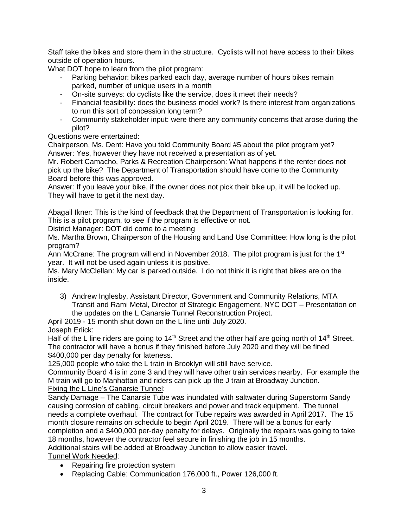Staff take the bikes and store them in the structure. Cyclists will not have access to their bikes outside of operation hours.

What DOT hope to learn from the pilot program:

- Parking behavior: bikes parked each day, average number of hours bikes remain parked, number of unique users in a month
- On-site surveys: do cyclists like the service, does it meet their needs?
- Financial feasibility: does the business model work? Is there interest from organizations to run this sort of concession long term?
- Community stakeholder input: were there any community concerns that arose during the pilot?

## Questions were entertained:

Chairperson, Ms. Dent: Have you told Community Board #5 about the pilot program yet? Answer: Yes, however they have not received a presentation as of yet.

Mr. Robert Camacho, Parks & Recreation Chairperson: What happens if the renter does not pick up the bike? The Department of Transportation should have come to the Community Board before this was approved.

Answer: If you leave your bike, if the owner does not pick their bike up, it will be locked up. They will have to get it the next day.

Abagail Ikner: This is the kind of feedback that the Department of Transportation is looking for. This is a pilot program, to see if the program is effective or not.

District Manager: DOT did come to a meeting

Ms. Martha Brown, Chairperson of the Housing and Land Use Committee: How long is the pilot program?

Ann McCrane: The program will end in November 2018. The pilot program is just for the  $1<sup>st</sup>$ year. It will not be used again unless it is positive.

Ms. Mary McClellan: My car is parked outside. I do not think it is right that bikes are on the inside.

3) Andrew Inglesby, Assistant Director, Government and Community Relations, MTA Transit and Rami Metal, Director of Strategic Engagement, NYC DOT – Presentation on the updates on the L Canarsie Tunnel Reconstruction Project.

April 2019 - 15 month shut down on the L line until July 2020.

Joseph Erlick:

Half of the L line riders are going to  $14<sup>th</sup>$  Street and the other half are going north of  $14<sup>th</sup>$  Street. The contractor will have a bonus if they finished before July 2020 and they will be fined \$400,000 per day penalty for lateness.

125,000 people who take the L train in Brooklyn will still have service.

Community Board 4 is in zone 3 and they will have other train services nearby. For example the M train will go to Manhattan and riders can pick up the J train at Broadway Junction. Fixing the L Line's Canarsie Tunnel:

Sandy Damage – The Canarsie Tube was inundated with saltwater during Superstorm Sandy causing corrosion of cabling, circuit breakers and power and track equipment. The tunnel needs a complete overhaul. The contract for Tube repairs was awarded in April 2017. The 15 month closure remains on schedule to begin April 2019. There will be a bonus for early completion and a \$400,000 per-day penalty for delays. Originally the repairs was going to take 18 months, however the contractor feel secure in finishing the job in 15 months. Additional stairs will be added at Broadway Junction to allow easier travel.

Tunnel Work Needed:

- Repairing fire protection system
- Replacing Cable: Communication 176,000 ft., Power 126,000 ft.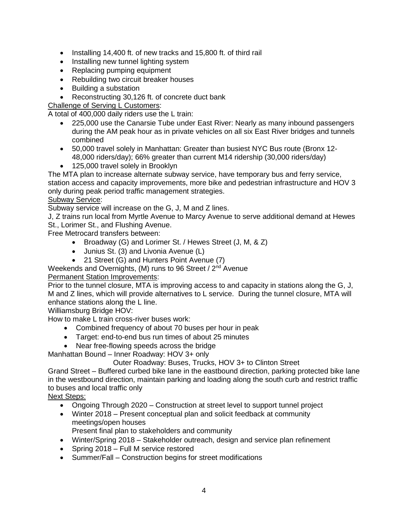- Installing 14,400 ft. of new tracks and 15,800 ft. of third rail
- Installing new tunnel lighting system
- Replacing pumping equipment
- Rebuilding two circuit breaker houses
- Building a substation
- Reconstructing 30,126 ft. of concrete duct bank
- Challenge of Serving L Customers:

A total of 400,000 daily riders use the L train:

- 225,000 use the Canarsie Tube under East River: Nearly as many inbound passengers during the AM peak hour as in private vehicles on all six East River bridges and tunnels combined
- 50,000 travel solely in Manhattan: Greater than busiest NYC Bus route (Bronx 12- 48,000 riders/day); 66% greater than current M14 ridership (30,000 riders/day)
- 125,000 travel solely in Brooklyn

The MTA plan to increase alternate subway service, have temporary bus and ferry service, station access and capacity improvements, more bike and pedestrian infrastructure and HOV 3 only during peak period traffic management strategies.

### Subway Service:

Subway service will increase on the G, J, M and Z lines.

J, Z trains run local from Myrtle Avenue to Marcy Avenue to serve additional demand at Hewes

St., Lorimer St., and Flushing Avenue.

Free Metrocard transfers between:

- Broadway (G) and Lorimer St. / Hewes Street (J, M, & Z)
- Junius St. (3) and Livonia Avenue (L)
- 21 Street (G) and Hunters Point Avenue (7)

Weekends and Overnights, (M) runs to 96 Street / 2<sup>nd</sup> Avenue

### Permanent Station Improvements:

Prior to the tunnel closure, MTA is improving access to and capacity in stations along the G, J, M and Z lines, which will provide alternatives to L service. During the tunnel closure, MTA will enhance stations along the L line.

Williamsburg Bridge HOV:

How to make L train cross-river buses work:

- Combined frequency of about 70 buses per hour in peak
- Target: end-to-end bus run times of about 25 minutes
- Near free-flowing speeds across the bridge

Manhattan Bound – Inner Roadway: HOV 3+ only

Outer Roadway: Buses, Trucks, HOV 3+ to Clinton Street

Grand Street – Buffered curbed bike lane in the eastbound direction, parking protected bike lane in the westbound direction, maintain parking and loading along the south curb and restrict traffic to buses and local traffic only

### Next Steps:

- Ongoing Through 2020 Construction at street level to support tunnel project
- Winter 2018 Present conceptual plan and solicit feedback at community meetings/open houses
	- Present final plan to stakeholders and community
- Winter/Spring 2018 Stakeholder outreach, design and service plan refinement
- Spring 2018 Full M service restored
- Summer/Fall Construction begins for street modifications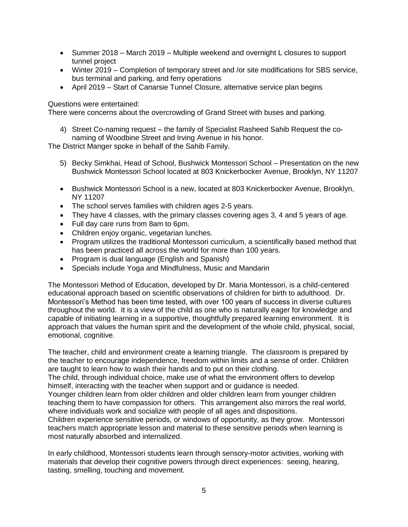- Summer 2018 March 2019 Multiple weekend and overnight L closures to support tunnel project
- Winter 2019 Completion of temporary street and /or site modifications for SBS service, bus terminal and parking, and ferry operations
- April 2019 Start of Canarsie Tunnel Closure, alternative service plan begins

### Questions were entertained:

There were concerns about the overcrowding of Grand Street with buses and parking.

4) Street Co-naming request – the family of Specialist Rasheed Sahib Request the conaming of Woodbine Street and Irving Avenue in his honor.

The District Manger spoke in behalf of the Sahib Family.

- 5) Becky Simkhai, Head of School, Bushwick Montessori School Presentation on the new Bushwick Montessori School located at 803 Knickerbocker Avenue, Brooklyn, NY 11207
- Bushwick Montessori School is a new, located at 803 Knickerbocker Avenue, Brooklyn, NY 11207
- The school serves families with children ages 2-5 years.
- They have 4 classes, with the primary classes covering ages 3, 4 and 5 years of age.
- Full day care runs from 8am to 6pm.
- Children enjoy organic, vegetarian lunches.
- Program utilizes the traditional Montessori curriculum, a scientifically based method that has been practiced all across the world for more than 100 years.
- Program is dual language (English and Spanish)
- Specials include Yoga and Mindfulness, Music and Mandarin

The Montessori Method of Education, developed by Dr. Maria Montessori, is a child-centered educational approach based on scientific observations of children for birth to adulthood. Dr. Montessori's Method has been time tested, with over 100 years of success in diverse cultures throughout the world. It is a view of the child as one who is naturally eager for knowledge and capable of initiating learning in a supportive, thoughtfully prepared learning environment. It is approach that values the human spirit and the development of the whole child, physical, social, emotional, cognitive*.* 

The teacher, child and environment create a learning triangle. The classroom is prepared by the teacher to encourage independence, freedom within limits and a sense of order. Children are taught to learn how to wash their hands and to put on their clothing.

The child, through individual choice, make use of what the environment offers to develop himself, interacting with the teacher when support and or guidance is needed.

Younger children learn from older children and older children learn from younger children teaching them to have compassion for others. This arrangement also mirrors the real world, where individuals work and socialize with people of all ages and dispositions.

Children experience sensitive periods, or windows of opportunity, as they grow. Montessori teachers match appropriate lesson and material to these sensitive periods when learning is most naturally absorbed and internalized.

In early childhood, Montessori students learn through sensory-motor activities, working with materials that develop their cognitive powers through direct experiences: seeing, hearing, tasting, smelling, touching and movement.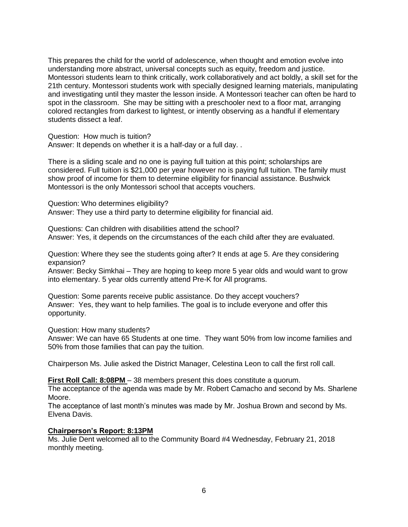This prepares the child for the world of adolescence, when thought and emotion evolve into understanding more abstract, universal concepts such as equity, freedom and justice. Montessori students learn to think critically, work collaboratively and act boldly, a skill set for the 21th century. Montessori students work with specially designed learning materials, manipulating and investigating until they master the lesson inside. A Montessori teacher can often be hard to spot in the classroom. She may be sitting with a preschooler next to a floor mat, arranging colored rectangles from darkest to lightest, or intently observing as a handful if elementary students dissect a leaf.

Question: How much is tuition?

Answer: It depends on whether it is a half-day or a full day. .

There is a sliding scale and no one is paying full tuition at this point; scholarships are considered. Full tuition is \$21,000 per year however no is paying full tuition. The family must show proof of income for them to determine eligibility for financial assistance. Bushwick Montessori is the only Montessori school that accepts vouchers.

Question: Who determines eligibility? Answer: They use a third party to determine eligibility for financial aid.

Questions: Can children with disabilities attend the school? Answer: Yes, it depends on the circumstances of the each child after they are evaluated.

Question: Where they see the students going after? It ends at age 5. Are they considering expansion?

Answer: Becky Simkhai – They are hoping to keep more 5 year olds and would want to grow into elementary. 5 year olds currently attend Pre-K for All programs.

Question: Some parents receive public assistance. Do they accept vouchers? Answer: Yes, they want to help families. The goal is to include everyone and offer this opportunity.

Question: How many students?

Answer: We can have 65 Students at one time. They want 50% from low income families and 50% from those families that can pay the tuition.

Chairperson Ms. Julie asked the District Manager, Celestina Leon to call the first roll call.

**First Roll Call: 8:08PM** – 38 members present this does constitute a quorum.

The acceptance of the agenda was made by Mr. Robert Camacho and second by Ms. Sharlene Moore.

The acceptance of last month's minutes was made by Mr. Joshua Brown and second by Ms. Elvena Davis.

#### **Chairperson's Report: 8:13PM**

Ms. Julie Dent welcomed all to the Community Board #4 Wednesday, February 21, 2018 monthly meeting.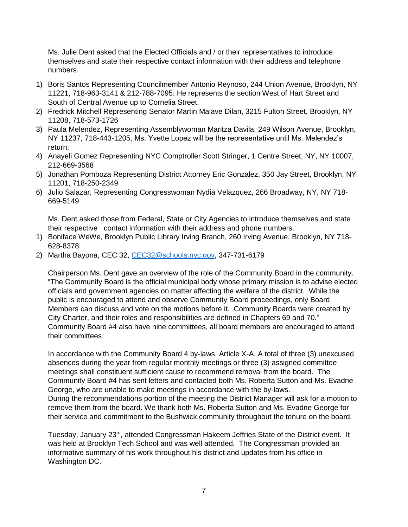Ms. Julie Dent asked that the Elected Officials and / or their representatives to introduce themselves and state their respective contact information with their address and telephone numbers.

- 1) Boris Santos Representing Councilmember Antonio Reynoso, 244 Union Avenue, Brooklyn, NY 11221, 718-963-3141 & 212-788-7095: He represents the section West of Hart Street and South of Central Avenue up to Cornelia Street.
- 2) Fredrick Mitchell Representing Senator Martin Malave Dilan, 3215 Fulton Street, Brooklyn, NY 11208, 718-573-1726
- 3) Paula Melendez, Representing Assemblywoman Maritza Davila, 249 Wilson Avenue, Brooklyn, NY 11237, 718-443-1205, Ms. Yvette Lopez will be the representative until Ms. Melendez's return.
- 4) Anayeli Gomez Representing NYC Comptroller Scott Stringer, 1 Centre Street, NY, NY 10007, 212-669-3568
- 5) Jonathan Pomboza Representing District Attorney Eric Gonzalez, 350 Jay Street, Brooklyn, NY 11201, 718-250-2349
- 6) Julio Salazar, Representing Congresswoman Nydia Velazquez, 266 Broadway, NY, NY 718- 669-5149

Ms. Dent asked those from Federal, State or City Agencies to introduce themselves and state their respective contact information with their address and phone numbers.

- 1) Boniface WeWe, Brooklyn Public Library Irving Branch, 260 Irving Avenue, Brooklyn, NY 718- 628-8378
- 2) Martha Bayona, CEC 32, [CEC32@schools.nyc.gov,](mailto:CEC32@schools.nyc.gov) 347-731-6179

Chairperson Ms. Dent gave an overview of the role of the Community Board in the community. "The Community Board is the official municipal body whose primary mission is to advise elected officials and government agencies on matter affecting the welfare of the district. While the public is encouraged to attend and observe Community Board proceedings, only Board Members can discuss and vote on the motions before it. Community Boards were created by City Charter, and their roles and responsibilities are defined in Chapters 69 and 70." Community Board #4 also have nine committees, all board members are encouraged to attend their committees.

In accordance with the Community Board 4 by-laws, Article X-A. A total of three (3) unexcused absences during the year from regular monthly meetings or three (3) assigned committee meetings shall constituent sufficient cause to recommend removal from the board. The Community Board #4 has sent letters and contacted both Ms. Roberta Sutton and Ms. Evadne George, who are unable to make meetings in accordance with the by-laws. During the recommendations portion of the meeting the District Manager will ask for a motion to remove them from the board. We thank both Ms. Roberta Sutton and Ms. Evadne George for their service and commitment to the Bushwick community throughout the tenure on the board.

Tuesday, January 23<sup>rd</sup>, attended Congressman Hakeem Jeffries State of the District event. It was held at Brooklyn Tech School and was well attended. The Congressman provided an informative summary of his work throughout his district and updates from his office in Washington DC.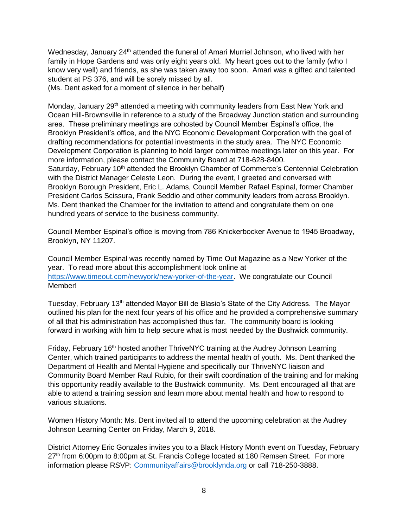Wednesday, January 24<sup>th</sup> attended the funeral of Amari Murriel Johnson, who lived with her family in Hope Gardens and was only eight years old. My heart goes out to the family (who I know very well) and friends, as she was taken away too soon. Amari was a gifted and talented student at PS 376, and will be sorely missed by all.

(Ms. Dent asked for a moment of silence in her behalf)

Monday, January 29<sup>th</sup> attended a meeting with community leaders from East New York and Ocean Hill-Brownsville in reference to a study of the Broadway Junction station and surrounding area. These preliminary meetings are cohosted by Council Member Espinal's office, the Brooklyn President's office, and the NYC Economic Development Corporation with the goal of drafting recommendations for potential investments in the study area. The NYC Economic Development Corporation is planning to hold larger committee meetings later on this year. For more information, please contact the Community Board at 718-628-8400. Saturday, February 10<sup>th</sup> attended the Brooklyn Chamber of Commerce's Centennial Celebration with the District Manager Celeste Leon. During the event, I greeted and conversed with Brooklyn Borough President, Eric L. Adams, Council Member Rafael Espinal, former Chamber President Carlos Scissura, Frank Seddio and other community leaders from across Brooklyn. Ms. Dent thanked the Chamber for the invitation to attend and congratulate them on one hundred years of service to the business community.

Council Member Espinal's office is moving from 786 Knickerbocker Avenue to 1945 Broadway, Brooklyn, NY 11207.

Council Member Espinal was recently named by Time Out Magazine as a New Yorker of the year. To read more about this accomplishment look online at [https://www.timeout.com/newyork/new-yorker-of-the-year.](https://www.timeout.com/newyork/new-yorker-of-the-year) We congratulate our Council Member!

Tuesday, February 13<sup>th</sup> attended Mayor Bill de Blasio's State of the City Address. The Mayor outlined his plan for the next four years of his office and he provided a comprehensive summary of all that his administration has accomplished thus far. The community board is looking forward in working with him to help secure what is most needed by the Bushwick community.

Friday, February 16<sup>th</sup> hosted another ThriveNYC training at the Audrey Johnson Learning Center, which trained participants to address the mental health of youth. Ms. Dent thanked the Department of Health and Mental Hygiene and specifically our ThriveNYC liaison and Community Board Member Raul Rubio, for their swift coordination of the training and for making this opportunity readily available to the Bushwick community. Ms. Dent encouraged all that are able to attend a training session and learn more about mental health and how to respond to various situations.

Women History Month: Ms. Dent invited all to attend the upcoming celebration at the Audrey Johnson Learning Center on Friday, March 9, 2018.

District Attorney Eric Gonzales invites you to a Black History Month event on Tuesday, February 27<sup>th</sup> from 6:00pm to 8:00pm at St. Francis College located at 180 Remsen Street. For more information please RSVP: [Communityaffairs@brooklynda.org](mailto:Communityaffairs@brooklynda.org) or call 718-250-3888.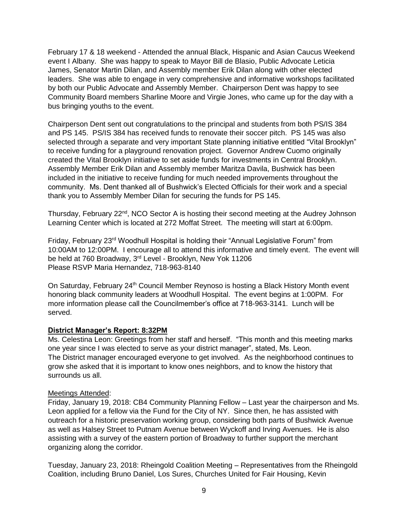February 17 & 18 weekend - Attended the annual Black, Hispanic and Asian Caucus Weekend event I Albany. She was happy to speak to Mayor Bill de Blasio, Public Advocate Leticia James, Senator Martin Dilan, and Assembly member Erik Dilan along with other elected leaders. She was able to engage in very comprehensive and informative workshops facilitated by both our Public Advocate and Assembly Member. Chairperson Dent was happy to see Community Board members Sharline Moore and Virgie Jones, who came up for the day with a bus bringing youths to the event.

Chairperson Dent sent out congratulations to the principal and students from both PS/IS 384 and PS 145. PS/IS 384 has received funds to renovate their soccer pitch. PS 145 was also selected through a separate and very important State planning initiative entitled "Vital Brooklyn" to receive funding for a playground renovation project. Governor Andrew Cuomo originally created the Vital Brooklyn initiative to set aside funds for investments in Central Brooklyn. Assembly Member Erik Dilan and Assembly member Maritza Davila, Bushwick has been included in the initiative to receive funding for much needed improvements throughout the community. Ms. Dent thanked all of Bushwick's Elected Officials for their work and a special thank you to Assembly Member Dilan for securing the funds for PS 145.

Thursday, February 22<sup>nd</sup>, NCO Sector A is hosting their second meeting at the Audrey Johnson Learning Center which is located at 272 Moffat Street. The meeting will start at 6:00pm.

Friday, February  $23<sup>rd</sup>$  Woodhull Hospital is holding their "Annual Legislative Forum" from 10:00AM to 12:00PM. I encourage all to attend this informative and timely event. The event will be held at 760 Broadway, 3<sup>rd</sup> Level - Brooklyn, New Yok 11206 Please RSVP Maria Hernandez, 718-963-8140

On Saturday, February 24<sup>th</sup> Council Member Reynoso is hosting a Black History Month event honoring black community leaders at Woodhull Hospital. The event begins at 1:00PM. For more information please call the Councilmember's office at 718-963-3141. Lunch will be served.

### **District Manager's Report: 8:32PM**

Ms. Celestina Leon: Greetings from her staff and herself. "This month and this meeting marks one year since I was elected to serve as your district manager", stated, Ms. Leon. The District manager encouraged everyone to get involved. As the neighborhood continues to grow she asked that it is important to know ones neighbors, and to know the history that surrounds us all.

#### Meetings Attended:

Friday, January 19, 2018: CB4 Community Planning Fellow – Last year the chairperson and Ms. Leon applied for a fellow via the Fund for the City of NY. Since then, he has assisted with outreach for a historic preservation working group, considering both parts of Bushwick Avenue as well as Halsey Street to Putnam Avenue between Wyckoff and Irving Avenues. He is also assisting with a survey of the eastern portion of Broadway to further support the merchant organizing along the corridor.

Tuesday, January 23, 2018: Rheingold Coalition Meeting – Representatives from the Rheingold Coalition, including Bruno Daniel, Los Sures, Churches United for Fair Housing, Kevin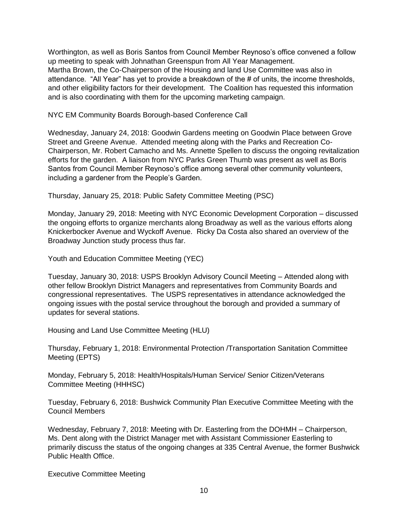Worthington, as well as Boris Santos from Council Member Reynoso's office convened a follow up meeting to speak with Johnathan Greenspun from All Year Management. Martha Brown, the Co-Chairperson of the Housing and land Use Committee was also in attendance. "All Year" has yet to provide a breakdown of the # of units, the income thresholds, and other eligibility factors for their development. The Coalition has requested this information and is also coordinating with them for the upcoming marketing campaign.

NYC EM Community Boards Borough-based Conference Call

Wednesday, January 24, 2018: Goodwin Gardens meeting on Goodwin Place between Grove Street and Greene Avenue. Attended meeting along with the Parks and Recreation Co-Chairperson, Mr. Robert Camacho and Ms. Annette Spellen to discuss the ongoing revitalization efforts for the garden. A liaison from NYC Parks Green Thumb was present as well as Boris Santos from Council Member Reynoso's office among several other community volunteers, including a gardener from the People's Garden.

Thursday, January 25, 2018: Public Safety Committee Meeting (PSC)

Monday, January 29, 2018: Meeting with NYC Economic Development Corporation – discussed the ongoing efforts to organize merchants along Broadway as well as the various efforts along Knickerbocker Avenue and Wyckoff Avenue. Ricky Da Costa also shared an overview of the Broadway Junction study process thus far.

Youth and Education Committee Meeting (YEC)

Tuesday, January 30, 2018: USPS Brooklyn Advisory Council Meeting – Attended along with other fellow Brooklyn District Managers and representatives from Community Boards and congressional representatives. The USPS representatives in attendance acknowledged the ongoing issues with the postal service throughout the borough and provided a summary of updates for several stations.

Housing and Land Use Committee Meeting (HLU)

Thursday, February 1, 2018: Environmental Protection /Transportation Sanitation Committee Meeting (EPTS)

Monday, February 5, 2018: Health/Hospitals/Human Service/ Senior Citizen/Veterans Committee Meeting (HHHSC)

Tuesday, February 6, 2018: Bushwick Community Plan Executive Committee Meeting with the Council Members

Wednesday, February 7, 2018: Meeting with Dr. Easterling from the DOHMH – Chairperson, Ms. Dent along with the District Manager met with Assistant Commissioner Easterling to primarily discuss the status of the ongoing changes at 335 Central Avenue, the former Bushwick Public Health Office.

Executive Committee Meeting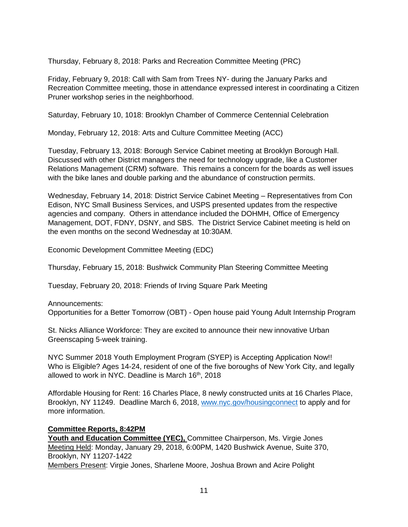Thursday, February 8, 2018: Parks and Recreation Committee Meeting (PRC)

Friday, February 9, 2018: Call with Sam from Trees NY- during the January Parks and Recreation Committee meeting, those in attendance expressed interest in coordinating a Citizen Pruner workshop series in the neighborhood.

Saturday, February 10, 1018: Brooklyn Chamber of Commerce Centennial Celebration

Monday, February 12, 2018: Arts and Culture Committee Meeting (ACC)

Tuesday, February 13, 2018: Borough Service Cabinet meeting at Brooklyn Borough Hall. Discussed with other District managers the need for technology upgrade, like a Customer Relations Management (CRM) software. This remains a concern for the boards as well issues with the bike lanes and double parking and the abundance of construction permits.

Wednesday, February 14, 2018: District Service Cabinet Meeting – Representatives from Con Edison, NYC Small Business Services, and USPS presented updates from the respective agencies and company. Others in attendance included the DOHMH, Office of Emergency Management, DOT, FDNY, DSNY, and SBS. The District Service Cabinet meeting is held on the even months on the second Wednesday at 10:30AM.

Economic Development Committee Meeting (EDC)

Thursday, February 15, 2018: Bushwick Community Plan Steering Committee Meeting

Tuesday, February 20, 2018: Friends of Irving Square Park Meeting

Announcements: Opportunities for a Better Tomorrow (OBT) - Open house paid Young Adult Internship Program

St. Nicks Alliance Workforce: They are excited to announce their new innovative Urban Greenscaping 5-week training.

NYC Summer 2018 Youth Employment Program (SYEP) is Accepting Application Now!! Who is Eligible? Ages 14-24, resident of one of the five boroughs of New York City, and legally allowed to work in NYC. Deadline is March 16<sup>th</sup>, 2018

Affordable Housing for Rent: 16 Charles Place, 8 newly constructed units at 16 Charles Place, Brooklyn, NY 11249. Deadline March 6, 2018, [www.nyc.gov/housingconnect](http://www.nyc.gov/housingconnect) to apply and for more information.

## **Committee Reports, 8:42PM**

**Youth and Education Committee (YEC),** Committee Chairperson, Ms. Virgie Jones Meeting Held: Monday, January 29, 2018, 6:00PM, 1420 Bushwick Avenue, Suite 370, Brooklyn, NY 11207-1422 Members Present: Virgie Jones, Sharlene Moore, Joshua Brown and Acire Polight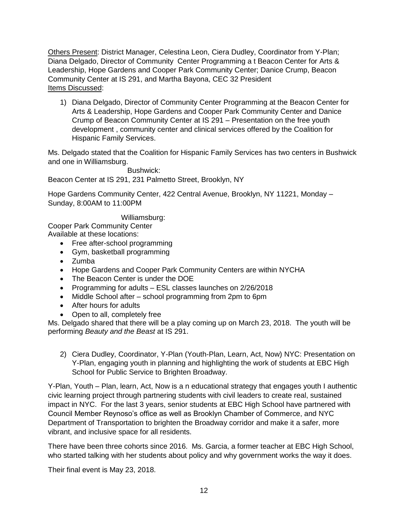Others Present: District Manager, Celestina Leon, Ciera Dudley, Coordinator from Y-Plan; Diana Delgado, Director of Community Center Programming a t Beacon Center for Arts & Leadership, Hope Gardens and Cooper Park Community Center; Danice Crump, Beacon Community Center at IS 291, and Martha Bayona, CEC 32 President Items Discussed:

1) Diana Delgado, Director of Community Center Programming at the Beacon Center for Arts & Leadership, Hope Gardens and Cooper Park Community Center and Danice Crump of Beacon Community Center at IS 291 – Presentation on the free youth development , community center and clinical services offered by the Coalition for Hispanic Family Services.

Ms. Delgado stated that the Coalition for Hispanic Family Services has two centers in Bushwick and one in Williamsburg.

Bushwick:

Beacon Center at IS 291, 231 Palmetto Street, Brooklyn, NY

Hope Gardens Community Center, 422 Central Avenue, Brooklyn, NY 11221, Monday – Sunday, 8:00AM to 11:00PM

Williamsburg:

Cooper Park Community Center Available at these locations:

- Free after-school programming
- Gym, basketball programming
- Zumba
- Hope Gardens and Cooper Park Community Centers are within NYCHA
- The Beacon Center is under the DOE
- Programming for adults ESL classes launches on 2/26/2018
- Middle School after school programming from 2pm to 6pm
- After hours for adults
- Open to all, completely free

Ms. Delgado shared that there will be a play coming up on March 23, 2018. The youth will be performing *Beauty and the Beast* at IS 291.

2) Ciera Dudley, Coordinator, Y-Plan (Youth-Plan, Learn, Act, Now) NYC: Presentation on Y-Plan, engaging youth in planning and highlighting the work of students at EBC High School for Public Service to Brighten Broadway.

Y-Plan, Youth – Plan, learn, Act, Now is a n educational strategy that engages youth I authentic civic learning project through partnering students with civil leaders to create real, sustained impact in NYC. For the last 3 years, senior students at EBC High School have partnered with Council Member Reynoso's office as well as Brooklyn Chamber of Commerce, and NYC Department of Transportation to brighten the Broadway corridor and make it a safer, more vibrant, and inclusive space for all residents.

There have been three cohorts since 2016. Ms. Garcia, a former teacher at EBC High School, who started talking with her students about policy and why government works the way it does.

Their final event is May 23, 2018.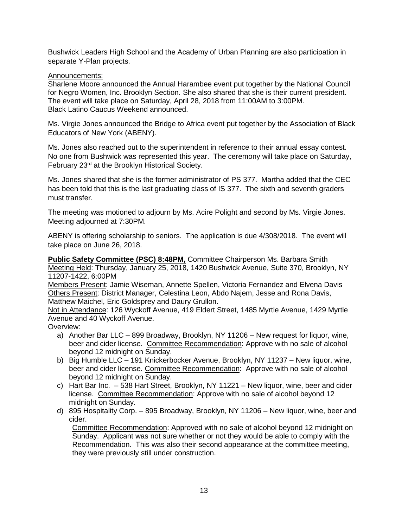Bushwick Leaders High School and the Academy of Urban Planning are also participation in separate Y-Plan projects.

### Announcements:

Sharlene Moore announced the Annual Harambee event put together by the National Council for Negro Women, Inc. Brooklyn Section. She also shared that she is their current president. The event will take place on Saturday, April 28, 2018 from 11:00AM to 3:00PM. Black Latino Caucus Weekend announced.

Ms. Virgie Jones announced the Bridge to Africa event put together by the Association of Black Educators of New York (ABENY).

Ms. Jones also reached out to the superintendent in reference to their annual essay contest. No one from Bushwick was represented this year. The ceremony will take place on Saturday, February 23rd at the Brooklyn Historical Society.

Ms. Jones shared that she is the former administrator of PS 377. Martha added that the CEC has been told that this is the last graduating class of IS 377. The sixth and seventh graders must transfer.

The meeting was motioned to adjourn by Ms. Acire Polight and second by Ms. Virgie Jones. Meeting adjourned at 7:30PM.

ABENY is offering scholarship to seniors. The application is due 4/308/2018. The event will take place on June 26, 2018.

**Public Safety Committee (PSC) 8:48PM,** Committee Chairperson Ms. Barbara Smith Meeting Held: Thursday, January 25, 2018, 1420 Bushwick Avenue, Suite 370, Brooklyn, NY 11207-1422, 6:00PM

Members Present: Jamie Wiseman, Annette Spellen, Victoria Fernandez and Elvena Davis Others Present: District Manager, Celestina Leon, Abdo Najem, Jesse and Rona Davis, Matthew Maichel, Eric Goldsprey and Daury Grullon.

Not in Attendance: 126 Wyckoff Avenue, 419 Eldert Street, 1485 Myrtle Avenue, 1429 Myrtle Avenue and 40 Wyckoff Avenue.

Overview:

- a) Another Bar LLC 899 Broadway, Brooklyn, NY 11206 New request for liquor, wine, beer and cider license. Committee Recommendation: Approve with no sale of alcohol beyond 12 midnight on Sunday.
- b) Big Humble LLC 191 Knickerbocker Avenue, Brooklyn, NY 11237 New liquor, wine, beer and cider license. Committee Recommendation: Approve with no sale of alcohol beyond 12 midnight on Sunday.
- c) Hart Bar Inc. 538 Hart Street, Brooklyn, NY 11221 New liquor, wine, beer and cider license. Committee Recommendation: Approve with no sale of alcohol beyond 12 midnight on Sunday.
- d) 895 Hospitality Corp. 895 Broadway, Brooklyn, NY 11206 New liquor, wine, beer and cider.

 Committee Recommendation: Approved with no sale of alcohol beyond 12 midnight on Sunday. Applicant was not sure whether or not they would be able to comply with the Recommendation. This was also their second appearance at the committee meeting, they were previously still under construction.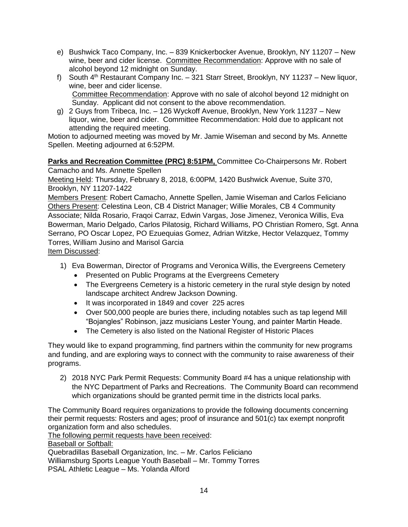- e) Bushwick Taco Company, Inc. 839 Knickerbocker Avenue, Brooklyn, NY 11207 New wine, beer and cider license. Committee Recommendation: Approve with no sale of alcohol beyond 12 midnight on Sunday.
- f) South  $4<sup>th</sup>$  Restaurant Company Inc. 321 Starr Street, Brooklyn, NY 11237 New liquor, wine, beer and cider license. Committee Recommendation: Approve with no sale of alcohol beyond 12 midnight on Sunday. Applicant did not consent to the above recommendation.
- g) 2 Guys from Tribeca, Inc. 126 Wyckoff Avenue, Brooklyn, New York 11237 New liquor, wine, beer and cider. Committee Recommendation: Hold due to applicant not attending the required meeting.

Motion to adjourned meeting was moved by Mr. Jamie Wiseman and second by Ms. Annette Spellen. Meeting adjourned at 6:52PM.

## **Parks and Recreation Committee (PRC) 8:51PM,** Committee Co-Chairpersons Mr. Robert

Camacho and Ms. Annette Spellen

Meeting Held: Thursday, February 8, 2018, 6:00PM, 1420 Bushwick Avenue, Suite 370, Brooklyn, NY 11207-1422

Members Present: Robert Camacho, Annette Spellen, Jamie Wiseman and Carlos Feliciano Others Present: Celestina Leon, CB 4 District Manager; Willie Morales, CB 4 Community Associate; Nilda Rosario, Fraqoi Carraz, Edwin Vargas, Jose Jimenez, Veronica Willis, Eva Bowerman, Mario Delgado, Carlos Pilatosig, Richard Williams, PO Christian Romero, Sgt. Anna Serrano, PO Oscar Lopez, PO Ezuequias Gomez, Adrian Witzke, Hector Velazquez, Tommy Torres, William Jusino and Marisol Garcia Item Discussed:

- 1) Eva Bowerman, Director of Programs and Veronica Willis, the Evergreens Cemetery
	- Presented on Public Programs at the Evergreens Cemetery
	- The Evergreens Cemetery is a historic cemetery in the rural style design by noted landscape architect Andrew Jackson Downing.
	- It was incorporated in 1849 and cover 225 acres
	- Over 500,000 people are buries there, including notables such as tap legend Mill "Bojangles" Robinson, jazz musicians Lester Young, and painter Martin Heade.
	- The Cemetery is also listed on the National Register of Historic Places

They would like to expand programming, find partners within the community for new programs and funding, and are exploring ways to connect with the community to raise awareness of their programs.

2) 2018 NYC Park Permit Requests: Community Board #4 has a unique relationship with the NYC Department of Parks and Recreations. The Community Board can recommend which organizations should be granted permit time in the districts local parks.

The Community Board requires organizations to provide the following documents concerning their permit requests: Rosters and ages; proof of insurance and 501(c) tax exempt nonprofit organization form and also schedules.

The following permit requests have been received:

Baseball or Softball:

Quebradillas Baseball Organization, Inc. – Mr. Carlos Feliciano Williamsburg Sports League Youth Baseball – Mr. Tommy Torres PSAL Athletic League – Ms. Yolanda Alford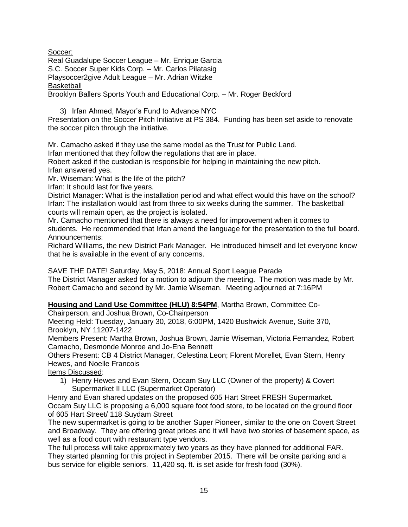Soccer:

Real Guadalupe Soccer League – Mr. Enrique Garcia S.C. Soccer Super Kids Corp. – Mr. Carlos Pilatasig Playsoccer2give Adult League – Mr. Adrian Witzke **Basketball** Brooklyn Ballers Sports Youth and Educational Corp. – Mr. Roger Beckford

3) Irfan Ahmed, Mayor's Fund to Advance NYC

Presentation on the Soccer Pitch Initiative at PS 384. Funding has been set aside to renovate the soccer pitch through the initiative.

Mr. Camacho asked if they use the same model as the Trust for Public Land.

Irfan mentioned that they follow the regulations that are in place.

Robert asked if the custodian is responsible for helping in maintaining the new pitch. Irfan answered yes.

Mr. Wiseman: What is the life of the pitch?

Irfan: It should last for five years.

District Manager: What is the installation period and what effect would this have on the school? Irfan: The installation would last from three to six weeks during the summer. The basketball courts will remain open, as the project is isolated.

Mr. Camacho mentioned that there is always a need for improvement when it comes to students. He recommended that Irfan amend the language for the presentation to the full board. Announcements:

Richard Williams, the new District Park Manager. He introduced himself and let everyone know that he is available in the event of any concerns.

SAVE THE DATE! Saturday, May 5, 2018: Annual Sport League Parade The District Manager asked for a motion to adjourn the meeting. The motion was made by Mr. Robert Camacho and second by Mr. Jamie Wiseman. Meeting adjourned at 7:16PM

**Housing and Land Use Committee (HLU) 8:54PM**, Martha Brown, Committee Co-

Chairperson, and Joshua Brown, Co-Chairperson

Meeting Held: Tuesday, January 30, 2018, 6:00PM, 1420 Bushwick Avenue, Suite 370, Brooklyn, NY 11207-1422

Members Present: Martha Brown, Joshua Brown, Jamie Wiseman, Victoria Fernandez, Robert Camacho, Desmonde Monroe and Jo-Ena Bennett

Others Present: CB 4 District Manager, Celestina Leon; Florent Morellet, Evan Stern, Henry Hewes, and Noelle Francois

Items Discussed:

1) Henry Hewes and Evan Stern, Occam Suy LLC (Owner of the property) & Covert Supermarket II LLC (Supermarket Operator)

Henry and Evan shared updates on the proposed 605 Hart Street FRESH Supermarket. Occam Suy LLC is proposing a 6,000 square foot food store, to be located on the ground floor of 605 Hart Street/ 118 Suydam Street

The new supermarket is going to be another Super Pioneer, similar to the one on Covert Street and Broadway. They are offering great prices and it will have two stories of basement space, as well as a food court with restaurant type vendors.

The full process will take approximately two years as they have planned for additional FAR. They started planning for this project in September 2015. There will be onsite parking and a bus service for eligible seniors. 11,420 sq. ft. is set aside for fresh food (30%).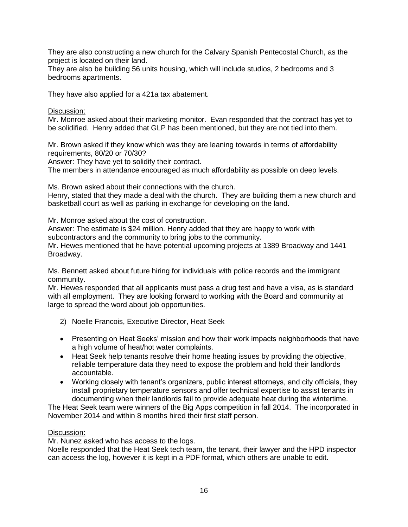They are also constructing a new church for the Calvary Spanish Pentecostal Church, as the project is located on their land.

They are also be building 56 units housing, which will include studios, 2 bedrooms and 3 bedrooms apartments.

They have also applied for a 421a tax abatement.

Discussion:

Mr. Monroe asked about their marketing monitor. Evan responded that the contract has yet to be solidified. Henry added that GLP has been mentioned, but they are not tied into them.

Mr. Brown asked if they know which was they are leaning towards in terms of affordability requirements, 80/20 or 70/30?

Answer: They have yet to solidify their contract.

The members in attendance encouraged as much affordability as possible on deep levels.

Ms. Brown asked about their connections with the church.

Henry, stated that they made a deal with the church. They are building them a new church and basketball court as well as parking in exchange for developing on the land.

Mr. Monroe asked about the cost of construction.

Answer: The estimate is \$24 million. Henry added that they are happy to work with subcontractors and the community to bring jobs to the community.

Mr. Hewes mentioned that he have potential upcoming projects at 1389 Broadway and 1441 Broadway.

Ms. Bennett asked about future hiring for individuals with police records and the immigrant community.

Mr. Hewes responded that all applicants must pass a drug test and have a visa, as is standard with all employment. They are looking forward to working with the Board and community at large to spread the word about job opportunities.

- 2) Noelle Francois, Executive Director, Heat Seek
- Presenting on Heat Seeks' mission and how their work impacts neighborhoods that have a high volume of heat/hot water complaints.
- Heat Seek help tenants resolve their home heating issues by providing the objective, reliable temperature data they need to expose the problem and hold their landlords accountable.
- Working closely with tenant's organizers, public interest attorneys, and city officials, they install proprietary temperature sensors and offer technical expertise to assist tenants in documenting when their landlords fail to provide adequate heat during the wintertime.

The Heat Seek team were winners of the Big Apps competition in fall 2014. The incorporated in November 2014 and within 8 months hired their first staff person.

#### Discussion:

Mr. Nunez asked who has access to the logs.

Noelle responded that the Heat Seek tech team, the tenant, their lawyer and the HPD inspector can access the log, however it is kept in a PDF format, which others are unable to edit.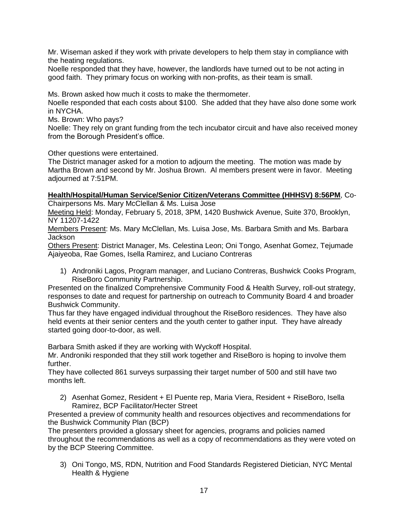Mr. Wiseman asked if they work with private developers to help them stay in compliance with the heating regulations.

Noelle responded that they have, however, the landlords have turned out to be not acting in good faith. They primary focus on working with non-profits, as their team is small.

Ms. Brown asked how much it costs to make the thermometer.

Noelle responded that each costs about \$100. She added that they have also done some work in NYCHA.

Ms. Brown: Who pays?

Noelle: They rely on grant funding from the tech incubator circuit and have also received money from the Borough President's office.

Other questions were entertained.

The District manager asked for a motion to adjourn the meeting. The motion was made by Martha Brown and second by Mr. Joshua Brown. Al members present were in favor. Meeting adjourned at 7:51PM.

### **Health/Hospital/Human Service/Senior Citizen/Veterans Committee (HHHSV) 8:56PM**, Co-

Chairpersons Ms. Mary McClellan & Ms. Luisa Jose

Meeting Held: Monday, February 5, 2018, 3PM, 1420 Bushwick Avenue, Suite 370, Brooklyn, NY 11207-1422

Members Present: Ms. Mary McClellan, Ms. Luisa Jose, Ms. Barbara Smith and Ms. Barbara Jackson

Others Present: District Manager, Ms. Celestina Leon; Oni Tongo, Asenhat Gomez, Tejumade Ajaiyeoba, Rae Gomes, Isella Ramirez, and Luciano Contreras

1) Androniki Lagos, Program manager, and Luciano Contreras, Bushwick Cooks Program, RiseBoro Community Partnership.

Presented on the finalized Comprehensive Community Food & Health Survey, roll-out strategy, responses to date and request for partnership on outreach to Community Board 4 and broader Bushwick Community.

Thus far they have engaged individual throughout the RiseBoro residences. They have also held events at their senior centers and the youth center to gather input. They have already started going door-to-door, as well.

Barbara Smith asked if they are working with Wyckoff Hospital.

Mr. Androniki responded that they still work together and RiseBoro is hoping to involve them further.

They have collected 861 surveys surpassing their target number of 500 and still have two months left.

2) Asenhat Gomez, Resident + El Puente rep, Maria Viera, Resident + RiseBoro, Isella Ramirez, BCP Facilitator/Hecter Street

Presented a preview of community health and resources objectives and recommendations for the Bushwick Community Plan (BCP)

The presenters provided a glossary sheet for agencies, programs and policies named throughout the recommendations as well as a copy of recommendations as they were voted on by the BCP Steering Committee.

3) Oni Tongo, MS, RDN, Nutrition and Food Standards Registered Dietician, NYC Mental Health & Hygiene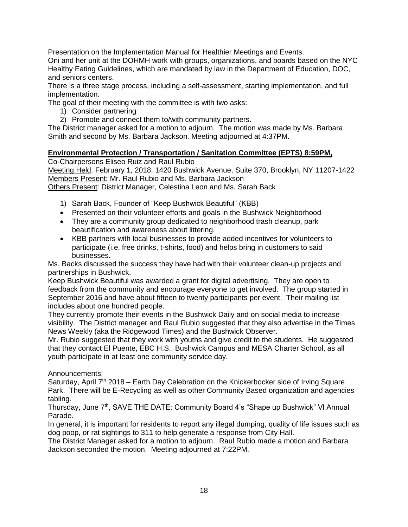Presentation on the Implementation Manual for Healthier Meetings and Events.

Oni and her unit at the DOHMH work with groups, organizations, and boards based on the NYC Healthy Eating Guidelines, which are mandated by law in the Department of Education, DOC, and seniors centers.

There is a three stage process, including a self-assessment, starting implementation, and full implementation.

The goal of their meeting with the committee is with two asks:

- 1) Consider partnering
- 2) Promote and connect them to/with community partners.

The District manager asked for a motion to adjourn. The motion was made by Ms. Barbara Smith and second by Ms. Barbara Jackson. Meeting adjourned at 4:37PM.

### **Environmental Protection / Transportation / Sanitation Committee (EPTS) 8:59PM,**

Co-Chairpersons Eliseo Ruiz and Raul Rubio

Meeting Held: February 1, 2018, 1420 Bushwick Avenue, Suite 370, Brooklyn, NY 11207-1422 Members Present: Mr. Raul Rubio and Ms. Barbara Jackson

Others Present: District Manager, Celestina Leon and Ms. Sarah Back

- 1) Sarah Back, Founder of "Keep Bushwick Beautiful" (KBB)
- Presented on their volunteer efforts and goals in the Bushwick Neighborhood
- They are a community group dedicated to neighborhood trash cleanup, park beautification and awareness about littering.
- KBB partners with local businesses to provide added incentives for volunteers to participate (i.e. free drinks, t-shirts, food) and helps bring in customers to said businesses.

Ms. Backs discussed the success they have had with their volunteer clean-up projects and partnerships in Bushwick.

Keep Bushwick Beautiful was awarded a grant for digital advertising. They are open to feedback from the community and encourage everyone to get involved. The group started in September 2016 and have about fifteen to twenty participants per event. Their mailing list includes about one hundred people.

They currently promote their events in the Bushwick Daily and on social media to increase visibility. The District manager and Raul Rubio suggested that they also advertise in the Times News Weekly (aka the Ridgewood Times) and the Bushwick Observer.

Mr. Rubio suggested that they work with youths and give credit to the students. He suggested that they contact El Puente, EBC H.S., Bushwick Campus and MESA Charter School, as all youth participate in at least one community service day.

### Announcements:

Saturday, April 7<sup>th</sup> 2018 – Earth Day Celebration on the Knickerbocker side of Irving Square Park. There will be E-Recycling as well as other Community Based organization and agencies tabling.

Thursday, June 7<sup>th</sup>, SAVE THE DATE: Community Board 4's "Shape up Bushwick" VI Annual Parade.

In general, it is important for residents to report any illegal dumping, quality of life issues such as dog poop, or rat sightings to 311 to help generate a response from City Hall.

The District Manager asked for a motion to adjourn. Raul Rubio made a motion and Barbara Jackson seconded the motion. Meeting adjourned at 7:22PM.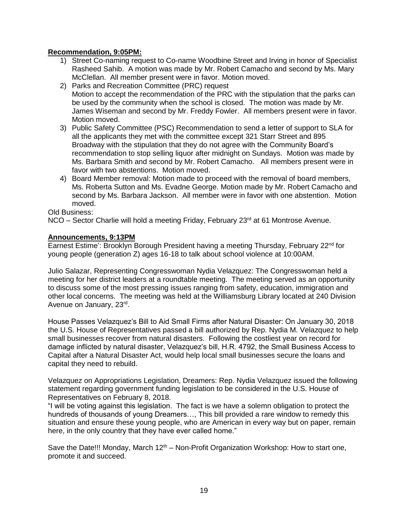### **Recommendation, 9:05PM:**

- 1) Street Co-naming request to Co-name Woodbine Street and Irving in honor of Specialist Rasheed Sahib. A motion was made by Mr. Robert Camacho and second by Ms. Mary McClellan. All member present were in favor. Motion moved.
- 2) Parks and Recreation Committee (PRC) request Motion to accept the recommendation of the PRC with the stipulation that the parks can be used by the community when the school is closed. The motion was made by Mr. James Wiseman and second by Mr. Freddy Fowler. All members present were in favor. Motion moved.
- 3) Public Safety Committee (PSC) Recommendation to send a letter of support to SLA for all the applicants they met with the committee except 321 Starr Street and 895 Broadway with the stipulation that they do not agree with the Community Board's recommendation to stop selling liquor after midnight on Sundays. Motion was made by Ms. Barbara Smith and second by Mr. Robert Camacho. All members present were in favor with two abstentions. Motion moved.
- 4) Board Member removal: Motion made to proceed with the removal of board members, Ms. Roberta Sutton and Ms. Evadne George. Motion made by Mr. Robert Camacho and second by Ms. Barbara Jackson. All member were in favor with one abstention. Motion moved.

Old Business:

NCO – Sector Charlie will hold a meeting Friday, February 23<sup>rd</sup> at 61 Montrose Avenue.

#### **Announcements, 9:13PM**

Earnest Estime': Brooklyn Borough President having a meeting Thursday, February 22<sup>nd</sup> for young people (generation Z) ages 16-18 to talk about school violence at 10:00AM.

Julio Salazar, Representing Congresswoman Nydia Velazquez: The Congresswoman held a meeting for her district leaders at a roundtable meeting. The meeting served as an opportunity to discuss some of the most pressing issues ranging from safety, education, immigration and other local concerns. The meeting was held at the Williamsburg Library located at 240 Division Avenue on January, 23<sup>rd</sup>.

House Passes Velazquez's Bill to Aid Small Firms after Natural Disaster: On January 30, 2018 the U.S. House of Representatives passed a bill authorized by Rep. Nydia M. Velazquez to help small businesses recover from natural disasters. Following the costliest year on record for damage inflicted by natural disaster, Velazquez's bill, H.R. 4792, the Small Business Access to Capital after a Natural Disaster Act, would help local small businesses secure the loans and capital they need to rebuild.

Velazquez on Appropriations Legislation, Dreamers: Rep. Nydia Velazquez issued the following statement regarding government funding legislation to be considered in the U.S. House of Representatives on February 8, 2018.

"I will be voting against this legislation. The fact is we have a solemn obligation to protect the hundreds of thousands of young Dreamers…, This bill provided a rare window to remedy this situation and ensure these young people, who are American in every way but on paper, remain here, in the only country that they have ever called home."

Save the Date!!! Monday, March  $12<sup>th</sup>$  – Non-Profit Organization Workshop: How to start one, promote it and succeed.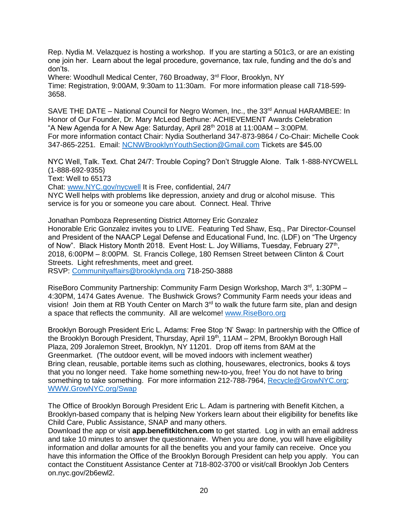Rep. Nydia M. Velazquez is hosting a workshop. If you are starting a 501c3, or are an existing one join her. Learn about the legal procedure, governance, tax rule, funding and the do's and don'ts.

Where: Woodhull Medical Center, 760 Broadway, 3rd Floor, Brooklyn, NY Time: Registration, 9:00AM, 9:30am to 11:30am. For more information please call 718-599- 3658.

SAVE THE DATE – National Council for Negro Women, Inc., the 33<sup>rd</sup> Annual HARAMBEE: In Honor of Our Founder, Dr. Mary McLeod Bethune: ACHIEVEMENT Awards Celebration "A New Agenda for A New Age: Saturday, April  $28<sup>th</sup>$  2018 at 11:00AM – 3:00PM. For more information contact Chair: Nydia Southerland 347-873-9864 / Co-Chair: Michelle Cook 347-865-2251. Email: [NCNWBrooklynYouthSection@Gmail.com](mailto:NCNWBrooklynYouthSection@Gmail.com) Tickets are \$45.00

NYC Well, Talk. Text. Chat 24/7: Trouble Coping? Don't Struggle Alone. Talk 1-888-NYCWELL (1-888-692-9355)

Text: Well to 65173

Chat: [www.NYC.gov/nycwell](http://www.nyc.gov/nycwell) It is Free, confidential, 24/7 NYC Well helps with problems like depression, anxiety and drug or alcohol misuse. This service is for you or someone you care about. Connect. Heal. Thrive

Jonathan Pomboza Representing District Attorney Eric Gonzalez Honorable Eric Gonzalez invites you to LIVE. Featuring Ted Shaw, Esq., Par Director-Counsel and President of the NAACP Legal Defense and Educational Fund, Inc. (LDF) on "The Urgency of Now". Black History Month 2018. Event Host: L. Joy Williams, Tuesday, February 27<sup>th</sup>, 2018, 6:00PM – 8:00PM. St. Francis College, 180 Remsen Street between Clinton & Court Streets. Light refreshments, meet and greet. RSVP: [Communityaffairs@brooklynda.org](mailto:Communityaffairs@brooklynda.org) 718-250-3888

RiseBoro Community Partnership: Community Farm Design Workshop, March  $3<sup>rd</sup>$ , 1:30PM – 4:30PM, 1474 Gates Avenue. The Bushwick Grows? Community Farm needs your ideas and vision! Join them at RB Youth Center on March  $3<sup>rd</sup>$  to walk the future farm site, plan and design a space that reflects the community. All are welcome! [www.RiseBoro.org](http://www.riseboro.org/)

Brooklyn Borough President Eric L. Adams: Free Stop 'N' Swap: In partnership with the Office of the Brooklyn Borough President, Thursday, April 19<sup>th</sup>, 11AM – 2PM, Brooklyn Borough Hall Plaza, 209 Joralemon Street, Brooklyn, NY 11201. Drop off items from 8AM at the Greenmarket. (The outdoor event, will be moved indoors with inclement weather) Bring clean, reusable, portable items such as clothing, housewares, electronics, books & toys that you no longer need. Take home something new-to-you, free! You do not have to bring something to take something. For more information 212-788-7964, [Recycle@GrowNYC.org;](mailto:Recycle@GrowNYC.org) [WWW.GrowNYC.org/Swap](http://www.grownyc.org/Swap)

The Office of Brooklyn Borough President Eric L. Adam is partnering with Benefit Kitchen, a Brooklyn-based company that is helping New Yorkers learn about their eligibility for benefits like Child Care, Public Assistance, SNAP and many others.

Download the app or visit **app.benefitkitchen.com** to get started. Log in with an email address and take 10 minutes to answer the questionnaire. When you are done, you will have eligibility information and dollar amounts for all the benefits you and your family can receive. Once you have this information the Office of the Brooklyn Borough President can help you apply. You can contact the Constituent Assistance Center at 718-802-3700 or visit/call Brooklyn Job Centers on.nyc.gov/2b6ewl2.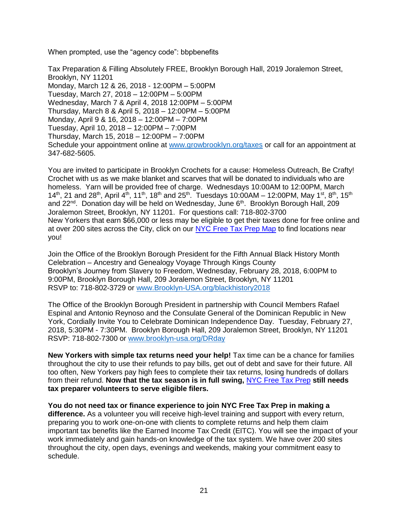When prompted, use the "agency code": bbpbenefits

Tax Preparation & Filling Absolutely FREE, Brooklyn Borough Hall, 2019 Joralemon Street, Brooklyn, NY 11201 Monday, March 12 & 26, 2018 - 12:00PM – 5:00PM Tuesday, March 27, 2018 – 12:00PM – 5:00PM Wednesday, March 7 & April 4, 2018 12:00PM – 5:00PM Thursday, March 8 & April 5, 2018 – 12:00PM – 5:00PM Monday, April 9 & 16, 2018 – 12:00PM – 7:00PM Tuesday, April 10, 2018 – 12:00PM – 7:00PM Thursday, March 15, 2018 – 12:00PM – 7:00PM Schedule your appointment online at [www.growbrooklyn.org/taxes](http://www.growbrooklyn.org/taxes) or call for an appointment at 347-682-5605.

You are invited to participate in Brooklyn Crochets for a cause: Homeless Outreach, Be Crafty! Crochet with us as we make blanket and scarves that will be donated to individuals who are homeless. Yarn will be provided free of charge. Wednesdays 10:00AM to 12:00PM, March 14<sup>th</sup>, 21 and 28<sup>th</sup>, April 4<sup>th</sup>, 11<sup>th</sup>, 18<sup>th</sup> and 25<sup>th</sup>. Tuesdays 10:00AM – 12:00PM, May 1<sup>st</sup>, 8<sup>th</sup>, 15<sup>th</sup> and 22<sup>nd</sup>. Donation day will be held on Wednesday, June 6<sup>th</sup>. Brooklyn Borough Hall, 209 Joralemon Street, Brooklyn, NY 11201. For questions call: 718-802-3700 New Yorkers that earn \$66,000 or less may be eligible to get their taxes done for free online and at over 200 sites across the City, click on our [NYC Free Tax Prep Map](https://csmail.nyc.gov/owa/redir.aspx?C=CXgSGGNvMwdMdBKSMjKXbWv9oRZKwOeyZmOsNius-es5TXCeSoDVCA..&URL=https%3a%2f%2fwww1.nyc.gov%2fassets%2fdca%2fTaxMap%2f) to find locations near you!

Join the Office of the Brooklyn Borough President for the Fifth Annual Black History Month Celebration – Ancestry and Genealogy Voyage Through Kings County Brooklyn's Journey from Slavery to Freedom, Wednesday, February 28, 2018, 6:00PM to 9:00PM, Brooklyn Borough Hall, 209 Joralemon Street, Brooklyn, NY 11201 RSVP to: 718-802-3729 or [www.Brooklyn-USA.org/blackhistory2018](http://www.brooklyn-usa.org/blackhistory2018)

The Office of the Brooklyn Borough President in partnership with Council Members Rafael Espinal and Antonio Reynoso and the Consulate General of the Dominican Republic in New York, Cordially Invite You to Celebrate Dominican Independence Day. Tuesday, February 27, 2018, 5:30PM - 7:30PM. Brooklyn Borough Hall, 209 Joralemon Street, Brooklyn, NY 11201 RSVP: 718-802-7300 or [www.brooklyn-usa.org/DRday](http://www.brooklyn-usa.org/DRday)

**New Yorkers with simple tax returns need your help!** Tax time can be a chance for families throughout the city to use their refunds to pay bills, get out of debt and save for their future. All too often, New Yorkers pay high fees to complete their tax returns, losing hundreds of dollars from their refund. **Now that the tax season is in full swing,** [NYC Free Tax Prep](https://csmail.nyc.gov/owa/redir.aspx?C=zoYx7ij7N7hl67SqtKBjJirGWLFi3vA2ySOqQiDjU-Y5TXCeSoDVCA..&URL=http%3a%2f%2fwww.nyc.gov%2ftaxprep) **still needs tax preparer volunteers to serve eligible filers.**

**You do not need tax or finance experience to join NYC Free Tax Prep in making a difference.** As a volunteer you will receive high-level training and support with every return, preparing you to work one-on-one with clients to complete returns and help them claim important tax benefits like the Earned Income Tax Credit (EITC). You will see the impact of your work immediately and gain hands-on knowledge of the tax system. We have over 200 sites throughout the city, open days, evenings and weekends, making your commitment easy to schedule.